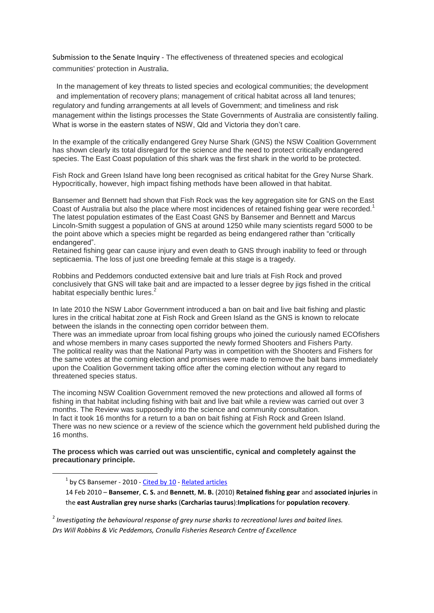Submission to the Senate Inquiry - The effectiveness of threatened species and ecological communities' protection in Australia.

In the management of key threats to listed species and ecological communities; the development and implementation of recovery plans; management of critical habitat across all land tenures; regulatory and funding arrangements at all levels of Government; and timeliness and risk management within the listings processes the State Governments of Australia are consistently failing. What is worse in the eastern states of NSW, Qld and Victoria they don't care.

In the example of the critically endangered Grey Nurse Shark (GNS) the NSW Coalition Government has shown clearly its total disregard for the science and the need to protect critically endangered species. The East Coast population of this shark was the first shark in the world to be protected.

Fish Rock and Green Island have long been recognised as critical habitat for the Grey Nurse Shark. Hypocritically, however, high impact fishing methods have been allowed in that habitat.

Bansemer and Bennett had shown that Fish Rock was the key aggregation site for GNS on the East Coast of Australia but also the place where most incidences of retained fishing gear were recorded.<sup>1</sup> The latest population estimates of the East Coast GNS by Bansemer and Bennett and Marcus Lincoln-Smith suggest a population of GNS at around 1250 while many scientists regard 5000 to be the point above which a species might be regarded as being endangered rather than "critically endangered".

Retained fishing gear can cause injury and even death to GNS through inability to feed or through septicaemia. The loss of just one breeding female at this stage is a tragedy.

Robbins and Peddemors conducted extensive bait and lure trials at Fish Rock and proved conclusively that GNS will take bait and are impacted to a lesser degree by jigs fished in the critical habitat especially benthic lures.<sup>2</sup>

In late 2010 the NSW Labor Government introduced a ban on bait and live bait fishing and plastic lures in the critical habitat zone at Fish Rock and Green Island as the GNS is known to relocate between the islands in the connecting open corridor between them.

There was an immediate uproar from local fishing groups who joined the curiously named ECOfishers and whose members in many cases supported the newly formed Shooters and Fishers Party. The political reality was that the National Party was in competition with the Shooters and Fishers for the same votes at the coming election and promises were made to remove the bait bans immediately upon the Coalition Government taking office after the coming election without any regard to threatened species status.

The incoming NSW Coalition Government removed the new protections and allowed all forms of fishing in that habitat including fishing with bait and live bait while a review was carried out over 3 months. The Review was supposedly into the science and community consultation. In fact it took 16 months for a return to a ban on bait fishing at Fish Rock and Green Island. There was no new science or a review of the science which the government held published during the 16 months.

## **The process which was carried out was unscientific, cynical and completely against the precautionary principle.**

**.** 

14 Feb 2010 – **Bansemer**, **C. S.** and **Bennett**, **M. B.** (2010) **Retained fishing gear** and **associated injuries** in the **east Australian grey nurse sharks** (**Carcharias taurus**):**Implications** for **population recovery**.

2 *Investigating the behavioural response of grey nurse sharks to recreational lures and baited lines. Drs Will Robbins & Vic Peddemors, Cronulla Fisheries Research Centre of Excellence*

<sup>&</sup>lt;sup>1</sup> by CS Bansemer - 2010 - [Cited by 10](http://scholar.google.com.au/scholar?hl=en&lr=&cites=15500662058000810286&um=1&ie=UTF-8&sa=X&ei=YP3DUJHSIaPtiAeomoCQBQ&ved=0CGIQzgIwBA) - [Related articles](http://scholar.google.com.au/scholar?hl=en&lr=&q=related:LoGDBgRqHdcJ:scholar.google.com/&um=1&ie=UTF-8&sa=X&ei=YP3DUJHSIaPtiAeomoCQBQ&ved=0CGMQzwIwBA)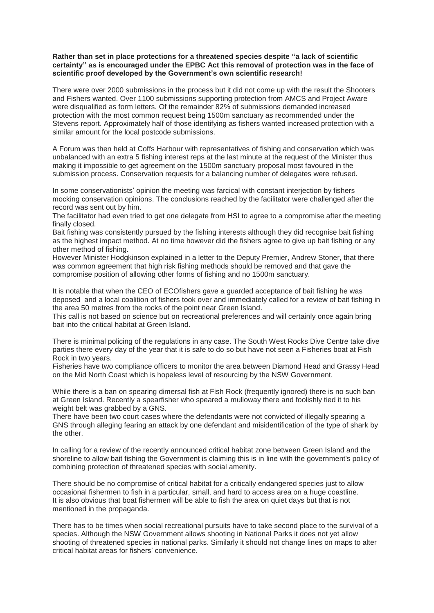## **Rather than set in place protections for a threatened species despite "a lack of scientific certainty" as is encouraged under the EPBC Act this removal of protection was in the face of scientific proof developed by the Government's own scientific research!**

There were over 2000 submissions in the process but it did not come up with the result the Shooters and Fishers wanted. Over 1100 submissions supporting protection from AMCS and Project Aware were disqualified as form letters. Of the remainder 82% of submissions demanded increased protection with the most common request being 1500m sanctuary as recommended under the Stevens report. Approximately half of those identifying as fishers wanted increased protection with a similar amount for the local postcode submissions.

A Forum was then held at Coffs Harbour with representatives of fishing and conservation which was unbalanced with an extra 5 fishing interest reps at the last minute at the request of the Minister thus making it impossible to get agreement on the 1500m sanctuary proposal most favoured in the submission process. Conservation requests for a balancing number of delegates were refused.

In some conservationists' opinion the meeting was farcical with constant interjection by fishers mocking conservation opinions. The conclusions reached by the facilitator were challenged after the record was sent out by him.

The facilitator had even tried to get one delegate from HSI to agree to a compromise after the meeting finally closed.

Bait fishing was consistently pursued by the fishing interests although they did recognise bait fishing as the highest impact method. At no time however did the fishers agree to give up bait fishing or any other method of fishing.

However Minister Hodgkinson explained in a letter to the Deputy Premier, Andrew Stoner, that there was common agreement that high risk fishing methods should be removed and that gave the compromise position of allowing other forms of fishing and no 1500m sanctuary.

It is notable that when the CEO of ECOfishers gave a guarded acceptance of bait fishing he was deposed and a local coalition of fishers took over and immediately called for a review of bait fishing in the area 50 metres from the rocks of the point near Green Island.

This call is not based on science but on recreational preferences and will certainly once again bring bait into the critical habitat at Green Island.

There is minimal policing of the regulations in any case. The South West Rocks Dive Centre take dive parties there every day of the year that it is safe to do so but have not seen a Fisheries boat at Fish Rock in two years.

Fisheries have two compliance officers to monitor the area between Diamond Head and Grassy Head on the Mid North Coast which is hopeless level of resourcing by the NSW Government.

While there is a ban on spearing dimersal fish at Fish Rock (frequently ignored) there is no such ban at Green Island. Recently a spearfisher who speared a mulloway there and foolishly tied it to his weight belt was grabbed by a GNS.

There have been two court cases where the defendants were not convicted of illegally spearing a GNS through alleging fearing an attack by one defendant and misidentification of the type of shark by the other.

In calling for a review of the recently announced critical habitat zone between Green Island and the shoreline to allow bait fishing the Government is claiming this is in line with the government's policy of combining protection of threatened species with social amenity.

There should be no compromise of critical habitat for a critically endangered species just to allow occasional fishermen to fish in a particular, small, and hard to access area on a huge coastline. It is also obvious that boat fishermen will be able to fish the area on quiet days but that is not mentioned in the propaganda.

There has to be times when social recreational pursuits have to take second place to the survival of a species. Although the NSW Government allows shooting in National Parks it does not yet allow shooting of threatened species in national parks. Similarly it should not change lines on maps to alter critical habitat areas for fishers' convenience.